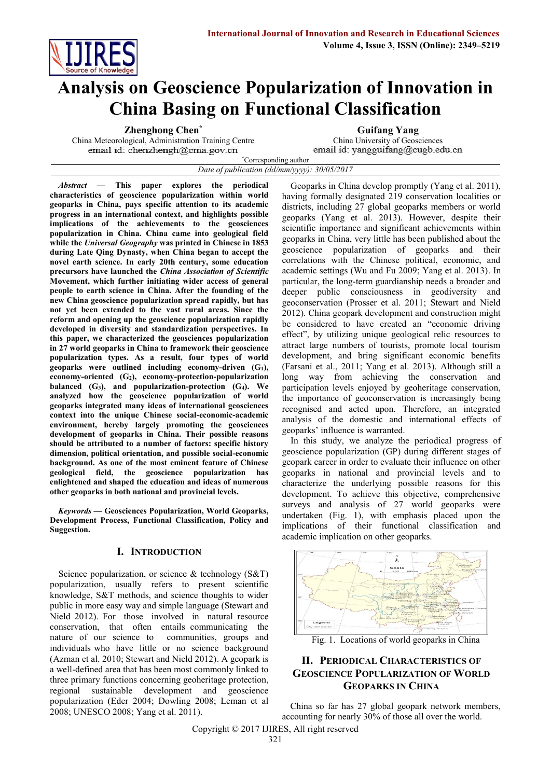

# **Analysis on Geoscience Popularization of Innovation in China Basing on Functional Classification**

China Meteorological, Administration Training Centre China University of Geosciences<br>
email id: chenzhengh@cma.gov.cn<br>
email id: yangguifang@cugb.edu.cn

**Zhenghong Chen<sup>\*</sup> Guifang Yang**<br> **China University of Geosciences**<br> **China University of Geosciences** 

\*Corresponding author *Date of publication (dd/mm/yyyy): 30/05/2017*

*Abstract* **— This paper explores the periodical characteristics of geoscience popularization within world geoparks in China, pays specific attention to its academic progress in an international context, and highlights possible implications of the achievements to the geosciences popularization in China. China came into geological field while the** *Universal Geography* **was printed in Chinese in 1853 during Late Qing Dynasty, when China began to accept the novel earth science. In early 20th century, some education precursors have launched the** *China Association of Scientific*  **Movement, which further initiating wider access of general people to earth science in China. After the founding of the new China geoscience popularization spread rapidly, but has not yet been extended to the vast rural areas. Since the reform and opening up the geoscience popularization rapidly developed in diversity and standardization perspectives. In this paper, we characterized the geosciences popularization in 27 world geoparks in China to framework their geoscience popularization types. As a result, four types of world geoparks were outlined including economy-driven (G1), economy-oriented (G2), economy-protection-popularization balanced (G3), and popularization-protection (G4). We analyzed how the geoscience popularization of world geoparks integrated many ideas of international geosciences context into the unique Chinese social-economic-academic environment, hereby largely promoting the geosciences development of geoparks in China. Their possible reasons should be attributed to a number of factors: specific history dimension, political orientation, and possible social-economic background. As one of the most eminent feature of Chinese geological field, the geoscience popularization has enlightened and shaped the education and ideas of numerous other geoparks in both national and provincial levels.**

*Keywords* **— Geosciences Popularization, World Geoparks, Development Process, Functional Classification, Policy and Suggestion.**

# **I. INTRODUCTION**

Science popularization, or science & technology (S&T) popularization, usually refers to present scientific knowledge, S&T methods, and science thoughts to wider public in more easy way and simple language (Stewart and Nield 2012). For those involved in natural resource conservation, that often entails communicating the nature of our science to communities, groups and individuals who have little or no science background (Azman et al. 2010; Stewart and Nield 2012). A geopark is a well-defined area that has been most commonly linked to three primary functions concerning geoheritage protection, regional sustainable development and geoscience popularization (Eder 2004; Dowling 2008; Leman et al 2008; UNESCO 2008; Yang et al. 2011).

Geoparks in China develop promptly (Yang et al. 2011), having formally designated 219 conservation localities or districts, including 27 global geoparks members or world geoparks (Yang et al. 2013). However, despite their scientific importance and significant achievements within geoparks in China, very little has been published about the geoscience popularization of geoparks and their correlations with the Chinese political, economic, and academic settings (Wu and Fu 2009; Yang et al. 2013). In particular, the long-term guardianship needs a broader and deeper public consciousness in geodiversity and geoconservation (Prosser et al. 2011; Stewart and Nield 2012). China geopark development and construction might be considered to have created an "economic driving effect", by utilizing unique geological relic resources to attract large numbers of tourists, promote local tourism development, and bring significant economic benefits (Farsani et al., 2011; Yang et al. 2013). Although still a long way from achieving the conservation and participation levels enjoyed by geoheritage conservation, the importance of geoconservation is increasingly being recognised and acted upon. Therefore, an integrated analysis of the domestic and international effects of geoparks' influence is warranted.

In this study, we analyze the periodical progress of geoscience popularization (GP) during different stages of geopark career in order to evaluate their influence on other geoparks in national and provincial levels and to characterize the underlying possible reasons for this development. To achieve this objective, comprehensive surveys and analysis of 27 world geoparks were undertaken (Fig. 1), with emphasis placed upon the implications of their functional classification and academic implication on other geoparks.



Fig. 1. Locations of world geoparks in China

# **II. PERIODICAL CHARACTERISTICS OF GEOSCIENCE POPULARIZATION OF WORLD GEOPARKS IN CHINA**

China so far has 27 global geopark network members, accounting for nearly 30% of those all over the world.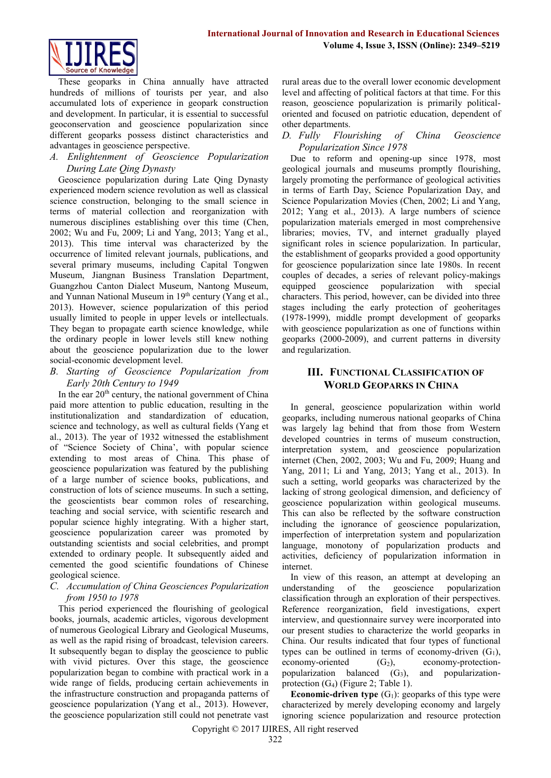

These geoparks in China annually have attracted hundreds of millions of tourists per year, and also accumulated lots of experience in geopark construction and development. In particular, it is essential to successful geoconservation and geoscience popularization since different geoparks possess distinct characteristics and advantages in geoscience perspective.

*A. Enlightenment of Geoscience Popularization During Late Qing Dynasty*

Geoscience popularization during Late Qing Dynasty experienced modern science revolution as well as classical science construction, belonging to the small science in terms of material collection and reorganization with numerous disciplines establishing over this time (Chen, 2002; Wu and Fu, 2009; Li and Yang, 2013; Yang et al., 2013). This time interval was characterized by the occurrence of limited relevant journals, publications, and several primary museums, including Capital Tongwen Museum, Jiangnan Business Translation Department, Guangzhou Canton Dialect Museum, Nantong Museum, and Yunnan National Museum in 19<sup>th</sup> century (Yang et al., 2013). However, science popularization of this period usually limited to people in upper levels or intellectuals. They began to propagate earth science knowledge, while the ordinary people in lower levels still knew nothing about the geoscience popularization due to the lower social-economic development level.

*B. Starting of Geoscience Popularization from Early 20th Century to 1949*

In the ear  $20<sup>th</sup>$  century, the national government of China paid more attention to public education, resulting in the institutionalization and standardization of education, science and technology, as well as cultural fields (Yang et al., 2013). The year of 1932 witnessed the establishment of "Science Society of China', with popular science extending to most areas of China. This phase of geoscience popularization was featured by the publishing of a large number of science books, publications, and construction of lots of science museums. In such a setting, the geoscientists bear common roles of researching, teaching and social service, with scientific research and popular science highly integrating. With a higher start, geoscience popularization career was promoted by outstanding scientists and social celebrities, and prompt extended to ordinary people. It subsequently aided and cemented the good scientific foundations of Chinese geological science.

#### *C. Accumulation of China Geosciences Popularization from 1950 to 1978*

This period experienced the flourishing of geological books, journals, academic articles, vigorous development of numerous Geological Library and Geological Museums, as well as the rapid rising of broadcast, television careers. It subsequently began to display the geoscience to public with vivid pictures. Over this stage, the geoscience popularization began to combine with practical work in a wide range of fields, producing certain achievements in the infrastructure construction and propaganda patterns of geoscience popularization (Yang et al., 2013). However, the geoscience popularization still could not penetrate vast

rural areas due to the overall lower economic development level and affecting of political factors at that time. For this reason, geoscience popularization is primarily politicaloriented and focused on patriotic education, dependent of other departments.

#### *D. Fully Flourishing of China Geoscience Popularization Since 1978*

Due to reform and opening-up since 1978, most geological journals and museums promptly flourishing, largely promoting the performance of geological activities in terms of Earth Day, Science Popularization Day, and Science Popularization Movies (Chen, 2002; Li and Yang, 2012; Yang et al., 2013). A large numbers of science popularization materials emerged in most comprehensive libraries; movies, TV, and internet gradually played significant roles in science popularization. In particular, the establishment of geoparks provided a good opportunity for geoscience popularization since late 1980s. In recent couples of decades, a series of relevant policy-makings equipped geoscience popularization with special characters. This period, however, can be divided into three stages including the early protection of geoheritages (1978-1999), middle prompt development of geoparks with geoscience popularization as one of functions within geoparks (2000-2009), and current patterns in diversity and regularization.

## **III. FUNCTIONAL CLASSIFICATION OF WORLD GEOPARKS IN CHINA**

In general, geoscience popularization within world geoparks, including numerous national geoparks of China was largely lag behind that from those from Western developed countries in terms of museum construction, interpretation system, and geoscience popularization internet (Chen, 2002, 2003; Wu and Fu, 2009; Huang and Yang, 2011; Li and Yang, 2013; Yang et al., 2013). In such a setting, world geoparks was characterized by the lacking of strong geological dimension, and deficiency of geoscience popularization within geological museums. This can also be reflected by the software construction including the ignorance of geoscience popularization, imperfection of interpretation system and popularization language, monotony of popularization products and activities, deficiency of popularization information in internet.

In view of this reason, an attempt at developing an understanding of the geoscience popularization classification through an exploration of their perspectives. Reference reorganization, field investigations, expert interview, and questionnaire survey were incorporated into our present studies to characterize the world geoparks in China. Our results indicated that four types of functional types can be outlined in terms of economy-driven  $(G_1)$ , economy-oriented  $(G_2)$ , economy-protectionpopularization balanced  $(G_3)$ , and popularizationprotection  $(G_4)$  (Figure 2; Table 1).

**Economic-driven type**  $(G_1)$ : geoparks of this type were characterized by merely developing economy and largely ignoring science popularization and resource protection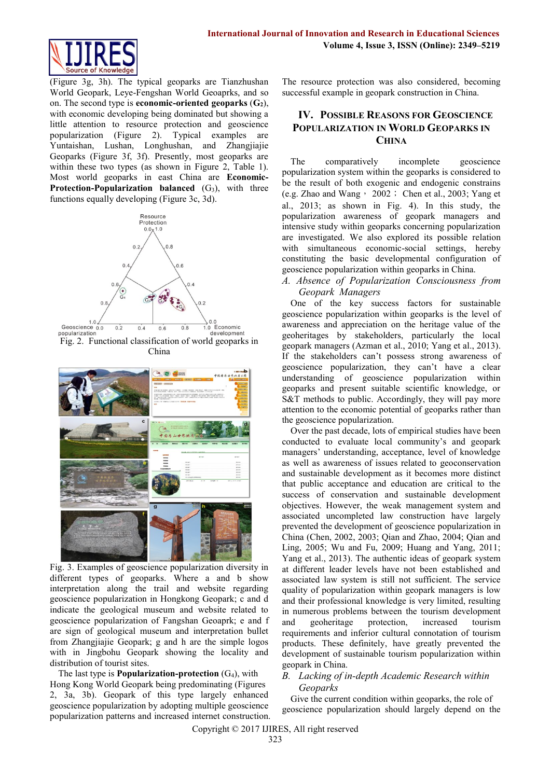

(Figure 3g, 3h). The typical geoparks are Tianzhushan World Geopark, Leye-Fengshan World Geoaprks, and so on. The second type is **economic-oriented geoparks** (**G2**), with economic developing being dominated but showing a little attention to resource protection and geoscience popularization (Figure 2). Typical examples are Yuntaishan, Lushan, Longhushan, and Zhangjiajie Geoparks (Figure 3f, 3f). Presently, most geoparks are within these two types (as shown in Figure 2, Table 1). Most world geoparks in east China are **Economic-Protection-Popularization balanced** (G<sub>3</sub>), with three functions equally developing (Figure 3c, 3d).



China



Fig. 3. Examples of geoscience popularization diversity in different types of geoparks. Where a and b show interpretation along the trail and website regarding geoscience popularization in Hongkong Geopark; c and d indicate the geological museum and website related to geoscience popularization of Fangshan Geoaprk; e and f are sign of geological museum and interpretation bullet from Zhangjiajie Geopark; g and h are the simple logos with in Jingbohu Geopark showing the locality and distribution of tourist sites.

The last type is **Popularization-protection**  $(G_4)$ , with Hong Kong World Geopark being predominating (Figures 2, 3a, 3b). Geopark of this type largely enhanced geoscience popularization by adopting multiple geoscience popularization patterns and increased internet construction. The resource protection was also considered, becoming successful example in geopark construction in China.

# **IV. POSSIBLE REASONS FOR GEOSCIENCE POPULARIZATION IN WORLD GEOPARKS IN CHINA**

The comparatively incomplete geoscience popularization system within the geoparks is considered to be the result of both exogenic and endogenic constrains (e.g. Zhao and Wang,  $\cdot$  2002; Chen et al., 2003; Yang et al., 2013; as shown in Fig. 4). In this study, the popularization awareness of geopark managers and intensive study within geoparks concerning popularization are investigated. We also explored its possible relation with simultaneous economic-social settings, hereby constituting the basic developmental configuration of geoscience popularization within geoparks in China.

*A. Absence of Popularization Consciousness from Geopark Managers*

One of the key success factors for sustainable geoscience popularization within geoparks is the level of awareness and appreciation on the heritage value of the geoheritages by stakeholders, particularly the local geopark managers (Azman et al., 2010; Yang et al., 2013). If the stakeholders can't possess strong awareness of geoscience popularization, they can't have a clear understanding of geoscience popularization within geoparks and present suitable scientific knowledge, or S&T methods to public. Accordingly, they will pay more attention to the economic potential of geoparks rather than the geoscience popularization.

Over the past decade, lots of empirical studies have been conducted to evaluate local community's and geopark managers' understanding, acceptance, level of knowledge as well as awareness of issues related to geoconservation and sustainable development as it becomes more distinct that public acceptance and education are critical to the success of conservation and sustainable development objectives. However, the weak management system and associated uncompleted law construction have largely prevented the development of geoscience popularization in China (Chen, 2002, 2003; Qian and Zhao, 2004; Qian and Ling, 2005; Wu and Fu, 2009; Huang and Yang, 2011; Yang et al., 2013). The authentic ideas of geopark system at different leader levels have not been established and associated law system is still not sufficient. The service quality of popularization within geopark managers is low and their professional knowledge is very limited, resulting in numerous problems between the tourism development and geoheritage protection, increased tourism requirements and inferior cultural connotation of tourism products. These definitely, have greatly prevented the development of sustainable tourism popularization within geopark in China.

### *B. Lacking of in-depth Academic Research within Geoparks*

Give the current condition within geoparks, the role of geoscience popularization should largely depend on the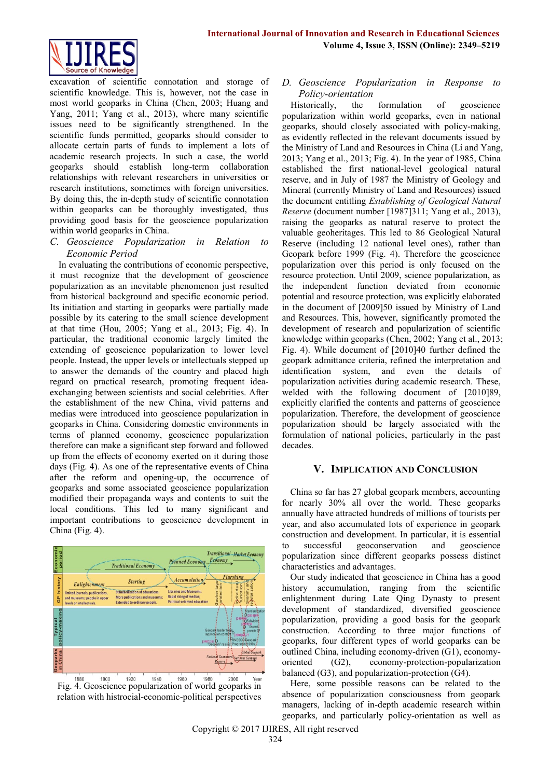

excavation of scientific connotation and storage of scientific knowledge. This is, however, not the case in most world geoparks in China (Chen, 2003; Huang and Yang, 2011; Yang et al., 2013), where many scientific issues need to be significantly strengthened. In the scientific funds permitted, geoparks should consider to allocate certain parts of funds to implement a lots of academic research projects. In such a case, the world geoparks should establish long-term collaboration relationships with relevant researchers in universities or research institutions, sometimes with foreign universities. By doing this, the in-depth study of scientific connotation within geoparks can be thoroughly investigated, thus providing good basis for the geoscience popularization within world geoparks in China.

## *C. Geoscience Popularization in Relation to Economic Period*

In evaluating the contributions of economic perspective, it must recognize that the development of geoscience popularization as an inevitable phenomenon just resulted from historical background and specific economic period. Its initiation and starting in geoparks were partially made possible by its catering to the small science development at that time (Hou, 2005; Yang et al., 2013; Fig. 4). In particular, the traditional economic largely limited the extending of geoscience popularization to lower level people. Instead, the upper levels or intellectuals stepped up to answer the demands of the country and placed high regard on practical research, promoting frequent ideaexchanging between scientists and social celebrities. After the establishment of the new China, vivid patterns and medias were introduced into geoscience popularization in geoparks in China. Considering domestic environments in terms of planned economy, geoscience popularization therefore can make a significant step forward and followed up from the effects of economy exerted on it during those days (Fig. 4). As one of the representative events of China after the reform and opening-up, the occurrence of geoparks and some associated geoscience popularization modified their propaganda ways and contents to suit the local conditions. This led to many significant and important contributions to geoscience development in China (Fig. 4).



1880 1900 1920 1940 1960 1980 2000 Year<br>Fig. 4. Geoscience popularization of world geoparks in 1920 1880 1900 1980 2000 relation with histrocial-economic-political perspectives

## *D. Geoscience Popularization in Response to Policy-orientation*

Historically, the formulation of geoscience popularization within world geoparks, even in national geoparks, should closely associated with policy-making, as evidently reflected in the relevant documents issued by the Ministry of Land and Resources in China (Li and Yang, 2013; Yang et al., 2013; Fig. 4). In the year of 1985, China established the first national-level geological natural reserve, and in July of 1987 the Ministry of Geology and Mineral (currently Ministry of Land and Resources) issued the document entitling *Establishing of Geological Natural Reserve* (document number [1987]311; Yang et al., 2013), raising the geoparks as natural reserve to protect the valuable geoheritages. This led to 86 Geological Natural Reserve (including 12 national level ones), rather than Geopark before 1999 (Fig. 4). Therefore the geoscience popularization over this period is only focused on the resource protection. Until 2009, science popularization, as the independent function deviated from economic potential and resource protection, was explicitly elaborated in the document of [2009]50 issued by Ministry of Land and Resources. This, however, significantly promoted the development of research and popularization of scientific knowledge within geoparks (Chen, 2002; Yang et al., 2013; Fig. 4). While document of [2010]40 further defined the geopark admittance criteria, refined the interpretation and identification system, and even the details of popularization activities during academic research. These, welded with the following document of [2010]89, explicitly clarified the contents and patterns of geoscience popularization. Therefore, the development of geoscience popularization should be largely associated with the formulation of national policies, particularly in the past decades.

#### **V. IMPLICATION AND CONCLUSION**

China so far has 27 global geopark members, accounting for nearly 30% all over the world. These geoparks annually have attracted hundreds of millions of tourists per year, and also accumulated lots of experience in geopark construction and development. In particular, it is essential to successful geoconservation and geoscience popularization since different geoparks possess distinct characteristics and advantages.

Our study indicated that geoscience in China has a good history accumulation, ranging from the scientific enlightenment during Late Qing Dynasty to present development of standardized, diversified geoscience popularization, providing a good basis for the geopark construction. According to three major functions of geoparks, four different types of world geoparks can be outlined China, including economy-driven (G1), economyoriented (G2), economy-protection-popularization balanced (G3), and popularization-protection (G4).

Here, some possible reasons can be related to the absence of popularization consciousness from geopark managers, lacking of in-depth academic research within geoparks, and particularly policy-orientation as well as